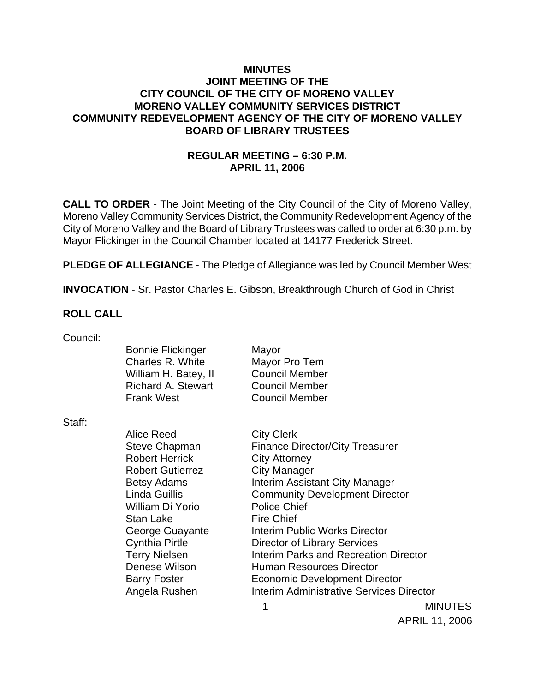## **MINUTES JOINT MEETING OF THE CITY COUNCIL OF THE CITY OF MORENO VALLEY MORENO VALLEY COMMUNITY SERVICES DISTRICT COMMUNITY REDEVELOPMENT AGENCY OF THE CITY OF MORENO VALLEY BOARD OF LIBRARY TRUSTEES**

# **REGULAR MEETING – 6:30 P.M. APRIL 11, 2006**

**CALL TO ORDER** - The Joint Meeting of the City Council of the City of Moreno Valley, Moreno Valley Community Services District, the Community Redevelopment Agency of the City of Moreno Valley and the Board of Library Trustees was called to order at 6:30 p.m. by Mayor Flickinger in the Council Chamber located at 14177 Frederick Street.

**PLEDGE OF ALLEGIANCE** - The Pledge of Allegiance was led by Council Member West

**INVOCATION** - Sr. Pastor Charles E. Gibson, Breakthrough Church of God in Christ

## **ROLL CALL**

| Council: |                                              |                                        |
|----------|----------------------------------------------|----------------------------------------|
|          | <b>Bonnie Flickinger</b><br>Charles R. White | Mayor<br>Mayor Pro Tem                 |
|          | William H. Batey, II                         | <b>Council Member</b>                  |
|          | <b>Richard A. Stewart</b>                    | <b>Council Member</b>                  |
|          | <b>Frank West</b>                            | <b>Council Member</b>                  |
| Staff:   |                                              |                                        |
|          | Alice Reed                                   | <b>City Clerk</b>                      |
|          | Steve Chapman                                | <b>Finance Director/City Treasurer</b> |
|          | <b>Robert Herrick</b>                        | <b>City Attorney</b>                   |
|          | <b>Robert Gutierrez</b>                      | <b>City Manager</b>                    |
|          | <b>Betsy Adams</b>                           | <b>Interim Assistant City Manager</b>  |
|          | <b>Linda Guillis</b>                         | <b>Community Development Director</b>  |
|          | William Di Yorio                             | <b>Police Chief</b>                    |
|          | <b>Stan Lake</b>                             | <b>Fire Chief</b>                      |
|          | George Guayante                              | Interim Public Works Director          |
|          | <b>Cynthia Pirtle</b>                        | Director of Library Services           |
|          | <b>Terry Nielsen</b>                         | Interim Parks and Recreation Director  |
|          | Denese Wilson                                | <b>Human Resources Director</b>        |
|          | <b>Barry Foster</b>                          | <b>Economic Development Director</b>   |
|          |                                              |                                        |

Angela Rushen Interim Administrative Services Director

1 MINUTES APRIL 11, 2006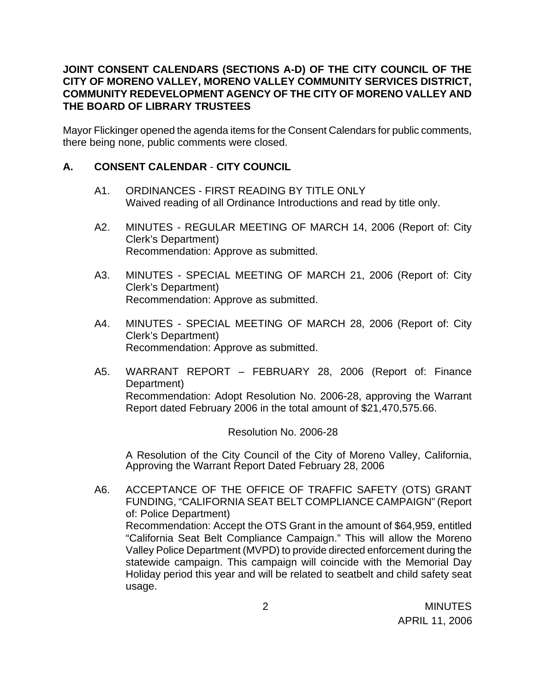## **JOINT CONSENT CALENDARS (SECTIONS A-D) OF THE CITY COUNCIL OF THE CITY OF MORENO VALLEY, MORENO VALLEY COMMUNITY SERVICES DISTRICT, COMMUNITY REDEVELOPMENT AGENCY OF THE CITY OF MORENO VALLEY AND THE BOARD OF LIBRARY TRUSTEES**

Mayor Flickinger opened the agenda items for the Consent Calendars for public comments, there being none, public comments were closed.

## **A. CONSENT CALENDAR** - **CITY COUNCIL**

- A1. ORDINANCES FIRST READING BY TITLE ONLY Waived reading of all Ordinance Introductions and read by title only.
- A2. MINUTES REGULAR MEETING OF MARCH 14, 2006 (Report of: City Clerk's Department) Recommendation: Approve as submitted.
- A3. MINUTES SPECIAL MEETING OF MARCH 21, 2006 (Report of: City Clerk's Department) Recommendation: Approve as submitted.
- A4. MINUTES SPECIAL MEETING OF MARCH 28, 2006 (Report of: City Clerk's Department) Recommendation: Approve as submitted.
- A5. WARRANT REPORT FEBRUARY 28, 2006 (Report of: Finance Department) Recommendation: Adopt Resolution No. 2006-28, approving the Warrant Report dated February 2006 in the total amount of \$21,470,575.66.

## Resolution No. 2006-28

 A Resolution of the City Council of the City of Moreno Valley, California, Approving the Warrant Report Dated February 28, 2006

A6. ACCEPTANCE OF THE OFFICE OF TRAFFIC SAFETY (OTS) GRANT FUNDING, "CALIFORNIA SEAT BELT COMPLIANCE CAMPAIGN" (Report of: Police Department) Recommendation: Accept the OTS Grant in the amount of \$64,959, entitled "California Seat Belt Compliance Campaign." This will allow the Moreno Valley Police Department (MVPD) to provide directed enforcement during the statewide campaign. This campaign will coincide with the Memorial Day Holiday period this year and will be related to seatbelt and child safety seat usage.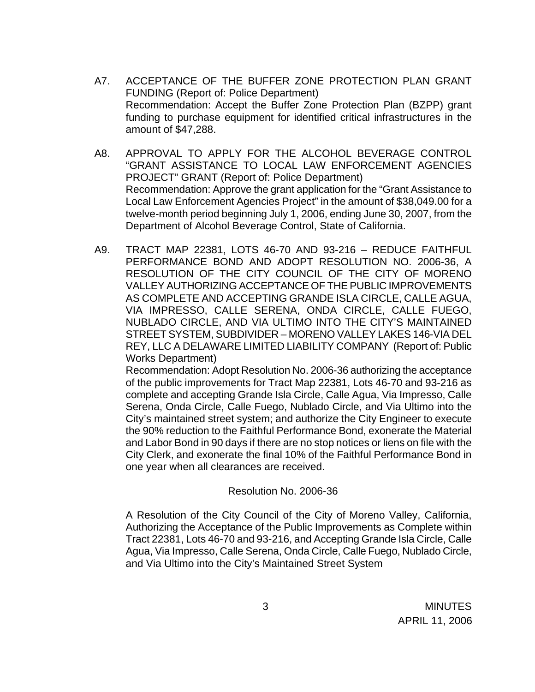- A7. ACCEPTANCE OF THE BUFFER ZONE PROTECTION PLAN GRANT FUNDING (Report of: Police Department) Recommendation: Accept the Buffer Zone Protection Plan (BZPP) grant funding to purchase equipment for identified critical infrastructures in the amount of \$47,288.
- A8. APPROVAL TO APPLY FOR THE ALCOHOL BEVERAGE CONTROL "GRANT ASSISTANCE TO LOCAL LAW ENFORCEMENT AGENCIES PROJECT" GRANT (Report of: Police Department) Recommendation: Approve the grant application for the "Grant Assistance to Local Law Enforcement Agencies Project" in the amount of \$38,049.00 for a twelve-month period beginning July 1, 2006, ending June 30, 2007, from the Department of Alcohol Beverage Control, State of California.
- A9. TRACT MAP 22381, LOTS 46-70 AND 93-216 REDUCE FAITHFUL PERFORMANCE BOND AND ADOPT RESOLUTION NO. 2006-36, A RESOLUTION OF THE CITY COUNCIL OF THE CITY OF MORENO VALLEY AUTHORIZING ACCEPTANCE OF THE PUBLIC IMPROVEMENTS AS COMPLETE AND ACCEPTING GRANDE ISLA CIRCLE, CALLE AGUA, VIA IMPRESSO, CALLE SERENA, ONDA CIRCLE, CALLE FUEGO, NUBLADO CIRCLE, AND VIA ULTIMO INTO THE CITY'S MAINTAINED STREET SYSTEM, SUBDIVIDER – MORENO VALLEY LAKES 146-VIA DEL REY, LLC A DELAWARE LIMITED LIABILITY COMPANY (Report of: Public Works Department)

 Recommendation: Adopt Resolution No. 2006-36 authorizing the acceptance of the public improvements for Tract Map 22381, Lots 46-70 and 93-216 as complete and accepting Grande Isla Circle, Calle Agua, Via Impresso, Calle Serena, Onda Circle, Calle Fuego, Nublado Circle, and Via Ultimo into the City's maintained street system; and authorize the City Engineer to execute the 90% reduction to the Faithful Performance Bond, exonerate the Material and Labor Bond in 90 days if there are no stop notices or liens on file with the City Clerk, and exonerate the final 10% of the Faithful Performance Bond in one year when all clearances are received.

## Resolution No. 2006-36

 A Resolution of the City Council of the City of Moreno Valley, California, Authorizing the Acceptance of the Public Improvements as Complete within Tract 22381, Lots 46-70 and 93-216, and Accepting Grande Isla Circle, Calle Agua, Via Impresso, Calle Serena, Onda Circle, Calle Fuego, Nublado Circle, and Via Ultimo into the City's Maintained Street System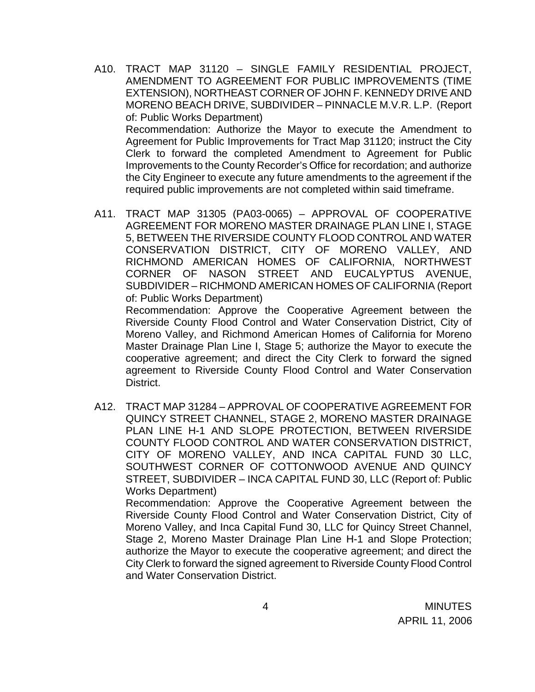- A10. TRACT MAP 31120 SINGLE FAMILY RESIDENTIAL PROJECT, AMENDMENT TO AGREEMENT FOR PUBLIC IMPROVEMENTS (TIME EXTENSION), NORTHEAST CORNER OF JOHN F. KENNEDY DRIVE AND MORENO BEACH DRIVE, SUBDIVIDER – PINNACLE M.V.R. L.P. (Report of: Public Works Department) Recommendation: Authorize the Mayor to execute the Amendment to Agreement for Public Improvements for Tract Map 31120; instruct the City Clerk to forward the completed Amendment to Agreement for Public Improvements to the County Recorder's Office for recordation; and authorize the City Engineer to execute any future amendments to the agreement if the required public improvements are not completed within said timeframe.
- A11. TRACT MAP 31305 (PA03-0065) APPROVAL OF COOPERATIVE AGREEMENT FOR MORENO MASTER DRAINAGE PLAN LINE I, STAGE 5, BETWEEN THE RIVERSIDE COUNTY FLOOD CONTROL AND WATER CONSERVATION DISTRICT, CITY OF MORENO VALLEY, AND RICHMOND AMERICAN HOMES OF CALIFORNIA, NORTHWEST CORNER OF NASON STREET AND EUCALYPTUS AVENUE, SUBDIVIDER – RICHMOND AMERICAN HOMES OF CALIFORNIA (Report of: Public Works Department)

 Recommendation: Approve the Cooperative Agreement between the Riverside County Flood Control and Water Conservation District, City of Moreno Valley, and Richmond American Homes of California for Moreno Master Drainage Plan Line I, Stage 5; authorize the Mayor to execute the cooperative agreement; and direct the City Clerk to forward the signed agreement to Riverside County Flood Control and Water Conservation District.

A12. TRACT MAP 31284 – APPROVAL OF COOPERATIVE AGREEMENT FOR QUINCY STREET CHANNEL, STAGE 2, MORENO MASTER DRAINAGE PLAN LINE H-1 AND SLOPE PROTECTION, BETWEEN RIVERSIDE COUNTY FLOOD CONTROL AND WATER CONSERVATION DISTRICT, CITY OF MORENO VALLEY, AND INCA CAPITAL FUND 30 LLC, SOUTHWEST CORNER OF COTTONWOOD AVENUE AND QUINCY STREET, SUBDIVIDER – INCA CAPITAL FUND 30, LLC (Report of: Public Works Department)

 Recommendation: Approve the Cooperative Agreement between the Riverside County Flood Control and Water Conservation District, City of Moreno Valley, and Inca Capital Fund 30, LLC for Quincy Street Channel, Stage 2, Moreno Master Drainage Plan Line H-1 and Slope Protection; authorize the Mayor to execute the cooperative agreement; and direct the City Clerk to forward the signed agreement to Riverside County Flood Control and Water Conservation District.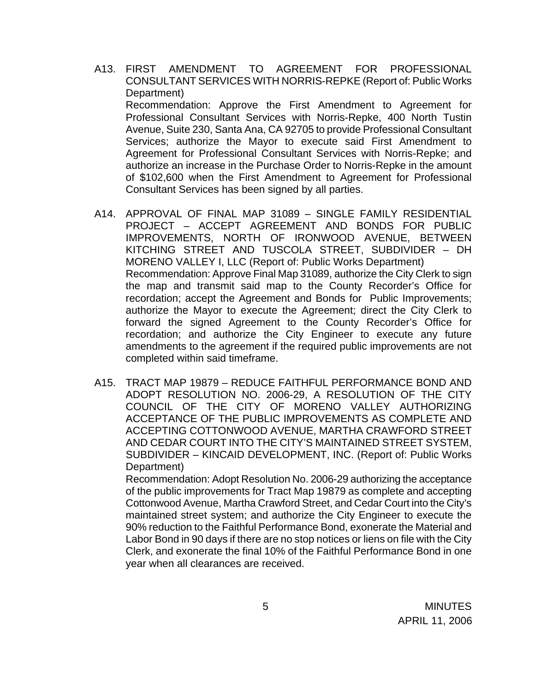- A13. FIRST AMENDMENT TO AGREEMENT FOR PROFESSIONAL CONSULTANT SERVICES WITH NORRIS-REPKE (Report of: Public Works Department) Recommendation: Approve the First Amendment to Agreement for Professional Consultant Services with Norris-Repke, 400 North Tustin Avenue, Suite 230, Santa Ana, CA 92705 to provide Professional Consultant Services; authorize the Mayor to execute said First Amendment to Agreement for Professional Consultant Services with Norris-Repke; and authorize an increase in the Purchase Order to Norris-Repke in the amount of \$102,600 when the First Amendment to Agreement for Professional Consultant Services has been signed by all parties.
- A14. APPROVAL OF FINAL MAP 31089 SINGLE FAMILY RESIDENTIAL PROJECT – ACCEPT AGREEMENT AND BONDS FOR PUBLIC IMPROVEMENTS, NORTH OF IRONWOOD AVENUE, BETWEEN KITCHING STREET AND TUSCOLA STREET, SUBDIVIDER – DH MORENO VALLEY I, LLC (Report of: Public Works Department) Recommendation: Approve Final Map 31089, authorize the City Clerk to sign the map and transmit said map to the County Recorder's Office for recordation; accept the Agreement and Bonds for Public Improvements; authorize the Mayor to execute the Agreement; direct the City Clerk to forward the signed Agreement to the County Recorder's Office for recordation; and authorize the City Engineer to execute any future amendments to the agreement if the required public improvements are not completed within said timeframe.
- A15. TRACT MAP 19879 REDUCE FAITHFUL PERFORMANCE BOND AND ADOPT RESOLUTION NO. 2006-29, A RESOLUTION OF THE CITY COUNCIL OF THE CITY OF MORENO VALLEY AUTHORIZING ACCEPTANCE OF THE PUBLIC IMPROVEMENTS AS COMPLETE AND ACCEPTING COTTONWOOD AVENUE, MARTHA CRAWFORD STREET AND CEDAR COURT INTO THE CITY'S MAINTAINED STREET SYSTEM, SUBDIVIDER – KINCAID DEVELOPMENT, INC. (Report of: Public Works Department)

 Recommendation: Adopt Resolution No. 2006-29 authorizing the acceptance of the public improvements for Tract Map 19879 as complete and accepting Cottonwood Avenue, Martha Crawford Street, and Cedar Court into the City's maintained street system; and authorize the City Engineer to execute the 90% reduction to the Faithful Performance Bond, exonerate the Material and Labor Bond in 90 days if there are no stop notices or liens on file with the City Clerk, and exonerate the final 10% of the Faithful Performance Bond in one year when all clearances are received.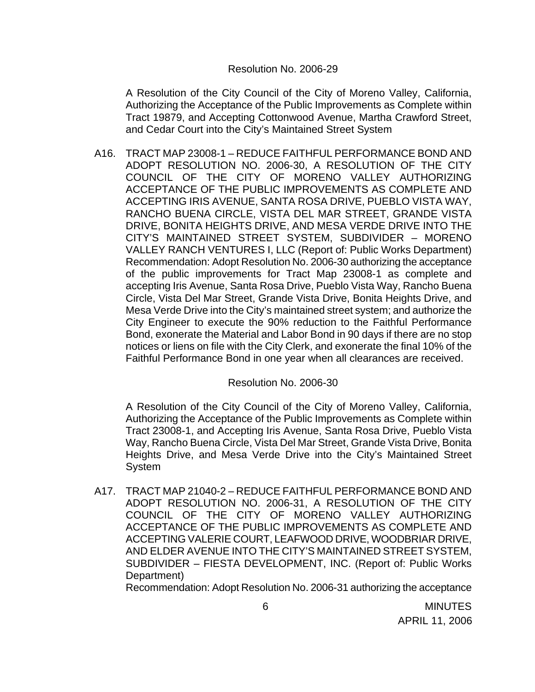#### Resolution No. 2006-29

A Resolution of the City Council of the City of Moreno Valley, California, Authorizing the Acceptance of the Public Improvements as Complete within Tract 19879, and Accepting Cottonwood Avenue, Martha Crawford Street, and Cedar Court into the City's Maintained Street System

A16. TRACT MAP 23008-1 – REDUCE FAITHFUL PERFORMANCE BOND AND ADOPT RESOLUTION NO. 2006-30, A RESOLUTION OF THE CITY COUNCIL OF THE CITY OF MORENO VALLEY AUTHORIZING ACCEPTANCE OF THE PUBLIC IMPROVEMENTS AS COMPLETE AND ACCEPTING IRIS AVENUE, SANTA ROSA DRIVE, PUEBLO VISTA WAY, RANCHO BUENA CIRCLE, VISTA DEL MAR STREET, GRANDE VISTA DRIVE, BONITA HEIGHTS DRIVE, AND MESA VERDE DRIVE INTO THE CITY'S MAINTAINED STREET SYSTEM, SUBDIVIDER – MORENO VALLEY RANCH VENTURES I, LLC (Report of: Public Works Department) Recommendation: Adopt Resolution No. 2006-30 authorizing the acceptance of the public improvements for Tract Map 23008-1 as complete and accepting Iris Avenue, Santa Rosa Drive, Pueblo Vista Way, Rancho Buena Circle, Vista Del Mar Street, Grande Vista Drive, Bonita Heights Drive, and Mesa Verde Drive into the City's maintained street system; and authorize the City Engineer to execute the 90% reduction to the Faithful Performance Bond, exonerate the Material and Labor Bond in 90 days if there are no stop notices or liens on file with the City Clerk, and exonerate the final 10% of the Faithful Performance Bond in one year when all clearances are received.

Resolution No. 2006-30

A Resolution of the City Council of the City of Moreno Valley, California, Authorizing the Acceptance of the Public Improvements as Complete within Tract 23008-1, and Accepting Iris Avenue, Santa Rosa Drive, Pueblo Vista Way, Rancho Buena Circle, Vista Del Mar Street, Grande Vista Drive, Bonita Heights Drive, and Mesa Verde Drive into the City's Maintained Street System

A17. TRACT MAP 21040-2 – REDUCE FAITHFUL PERFORMANCE BOND AND ADOPT RESOLUTION NO. 2006-31, A RESOLUTION OF THE CITY COUNCIL OF THE CITY OF MORENO VALLEY AUTHORIZING ACCEPTANCE OF THE PUBLIC IMPROVEMENTS AS COMPLETE AND ACCEPTING VALERIE COURT, LEAFWOOD DRIVE, WOODBRIAR DRIVE, AND ELDER AVENUE INTO THE CITY'S MAINTAINED STREET SYSTEM, SUBDIVIDER – FIESTA DEVELOPMENT, INC. (Report of: Public Works Department)

Recommendation: Adopt Resolution No. 2006-31 authorizing the acceptance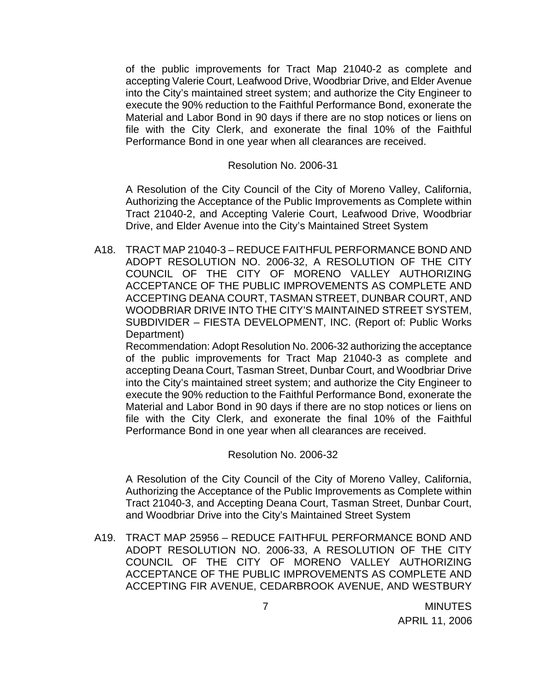of the public improvements for Tract Map 21040-2 as complete and accepting Valerie Court, Leafwood Drive, Woodbriar Drive, and Elder Avenue into the City's maintained street system; and authorize the City Engineer to execute the 90% reduction to the Faithful Performance Bond, exonerate the Material and Labor Bond in 90 days if there are no stop notices or liens on file with the City Clerk, and exonerate the final 10% of the Faithful Performance Bond in one year when all clearances are received.

#### Resolution No. 2006-31

A Resolution of the City Council of the City of Moreno Valley, California, Authorizing the Acceptance of the Public Improvements as Complete within Tract 21040-2, and Accepting Valerie Court, Leafwood Drive, Woodbriar Drive, and Elder Avenue into the City's Maintained Street System

A18. TRACT MAP 21040-3 – REDUCE FAITHFUL PERFORMANCE BOND AND ADOPT RESOLUTION NO. 2006-32, A RESOLUTION OF THE CITY COUNCIL OF THE CITY OF MORENO VALLEY AUTHORIZING ACCEPTANCE OF THE PUBLIC IMPROVEMENTS AS COMPLETE AND ACCEPTING DEANA COURT, TASMAN STREET, DUNBAR COURT, AND WOODBRIAR DRIVE INTO THE CITY'S MAINTAINED STREET SYSTEM, SUBDIVIDER – FIESTA DEVELOPMENT, INC. (Report of: Public Works Department)

 Recommendation: Adopt Resolution No. 2006-32 authorizing the acceptance of the public improvements for Tract Map 21040-3 as complete and accepting Deana Court, Tasman Street, Dunbar Court, and Woodbriar Drive into the City's maintained street system; and authorize the City Engineer to execute the 90% reduction to the Faithful Performance Bond, exonerate the Material and Labor Bond in 90 days if there are no stop notices or liens on file with the City Clerk, and exonerate the final 10% of the Faithful Performance Bond in one year when all clearances are received.

## Resolution No. 2006-32

 A Resolution of the City Council of the City of Moreno Valley, California, Authorizing the Acceptance of the Public Improvements as Complete within Tract 21040-3, and Accepting Deana Court, Tasman Street, Dunbar Court, and Woodbriar Drive into the City's Maintained Street System

A19. TRACT MAP 25956 – REDUCE FAITHFUL PERFORMANCE BOND AND ADOPT RESOLUTION NO. 2006-33, A RESOLUTION OF THE CITY COUNCIL OF THE CITY OF MORENO VALLEY AUTHORIZING ACCEPTANCE OF THE PUBLIC IMPROVEMENTS AS COMPLETE AND ACCEPTING FIR AVENUE, CEDARBROOK AVENUE, AND WESTBURY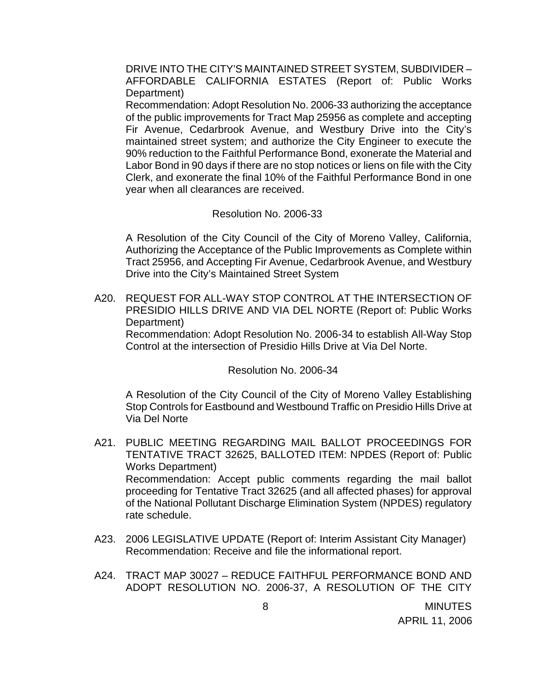DRIVE INTO THE CITY'S MAINTAINED STREET SYSTEM, SUBDIVIDER – AFFORDABLE CALIFORNIA ESTATES (Report of: Public Works Department)

 Recommendation: Adopt Resolution No. 2006-33 authorizing the acceptance of the public improvements for Tract Map 25956 as complete and accepting Fir Avenue, Cedarbrook Avenue, and Westbury Drive into the City's maintained street system; and authorize the City Engineer to execute the 90% reduction to the Faithful Performance Bond, exonerate the Material and Labor Bond in 90 days if there are no stop notices or liens on file with the City Clerk, and exonerate the final 10% of the Faithful Performance Bond in one year when all clearances are received.

#### Resolution No. 2006-33

A Resolution of the City Council of the City of Moreno Valley, California, Authorizing the Acceptance of the Public Improvements as Complete within Tract 25956, and Accepting Fir Avenue, Cedarbrook Avenue, and Westbury Drive into the City's Maintained Street System

A20. REQUEST FOR ALL-WAY STOP CONTROL AT THE INTERSECTION OF PRESIDIO HILLS DRIVE AND VIA DEL NORTE (Report of: Public Works Department)

 Recommendation: Adopt Resolution No. 2006-34 to establish All-Way Stop Control at the intersection of Presidio Hills Drive at Via Del Norte.

Resolution No. 2006-34

 A Resolution of the City Council of the City of Moreno Valley Establishing Stop Controls for Eastbound and Westbound Traffic on Presidio Hills Drive at Via Del Norte

- A21. PUBLIC MEETING REGARDING MAIL BALLOT PROCEEDINGS FOR TENTATIVE TRACT 32625, BALLOTED ITEM: NPDES (Report of: Public Works Department) Recommendation: Accept public comments regarding the mail ballot proceeding for Tentative Tract 32625 (and all affected phases) for approval of the National Pollutant Discharge Elimination System (NPDES) regulatory rate schedule.
- A23. 2006 LEGISLATIVE UPDATE (Report of: Interim Assistant City Manager) Recommendation: Receive and file the informational report.
- A24. TRACT MAP 30027 REDUCE FAITHFUL PERFORMANCE BOND AND ADOPT RESOLUTION NO. 2006-37, A RESOLUTION OF THE CITY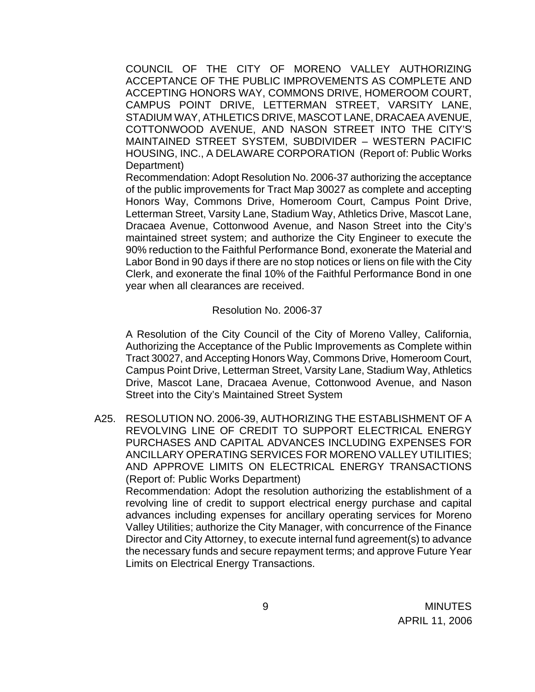COUNCIL OF THE CITY OF MORENO VALLEY AUTHORIZING ACCEPTANCE OF THE PUBLIC IMPROVEMENTS AS COMPLETE AND ACCEPTING HONORS WAY, COMMONS DRIVE, HOMEROOM COURT, CAMPUS POINT DRIVE, LETTERMAN STREET, VARSITY LANE, STADIUM WAY, ATHLETICS DRIVE, MASCOT LANE, DRACAEA AVENUE, COTTONWOOD AVENUE, AND NASON STREET INTO THE CITY'S MAINTAINED STREET SYSTEM, SUBDIVIDER – WESTERN PACIFIC HOUSING, INC., A DELAWARE CORPORATION (Report of: Public Works Department)

 Recommendation: Adopt Resolution No. 2006-37 authorizing the acceptance of the public improvements for Tract Map 30027 as complete and accepting Honors Way, Commons Drive, Homeroom Court, Campus Point Drive, Letterman Street, Varsity Lane, Stadium Way, Athletics Drive, Mascot Lane, Dracaea Avenue, Cottonwood Avenue, and Nason Street into the City's maintained street system; and authorize the City Engineer to execute the 90% reduction to the Faithful Performance Bond, exonerate the Material and Labor Bond in 90 days if there are no stop notices or liens on file with the City Clerk, and exonerate the final 10% of the Faithful Performance Bond in one year when all clearances are received.

#### Resolution No. 2006-37

A Resolution of the City Council of the City of Moreno Valley, California, Authorizing the Acceptance of the Public Improvements as Complete within Tract 30027, and Accepting Honors Way, Commons Drive, Homeroom Court, Campus Point Drive, Letterman Street, Varsity Lane, Stadium Way, Athletics Drive, Mascot Lane, Dracaea Avenue, Cottonwood Avenue, and Nason Street into the City's Maintained Street System

A25. RESOLUTION NO. 2006-39, AUTHORIZING THE ESTABLISHMENT OF A REVOLVING LINE OF CREDIT TO SUPPORT ELECTRICAL ENERGY PURCHASES AND CAPITAL ADVANCES INCLUDING EXPENSES FOR ANCILLARY OPERATING SERVICES FOR MORENO VALLEY UTILITIES; AND APPROVE LIMITS ON ELECTRICAL ENERGY TRANSACTIONS (Report of: Public Works Department) Recommendation: Adopt the resolution authorizing the establishment of a revolving line of credit to support electrical energy purchase and capital advances including expenses for ancillary operating services for Moreno Valley Utilities; authorize the City Manager, with concurrence of the Finance Director and City Attorney, to execute internal fund agreement(s) to advance

the necessary funds and secure repayment terms; and approve Future Year

Limits on Electrical Energy Transactions.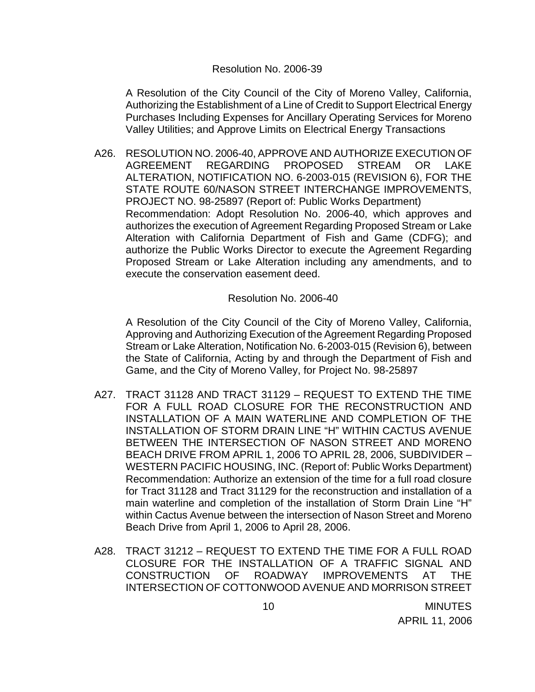#### Resolution No. 2006-39

A Resolution of the City Council of the City of Moreno Valley, California, Authorizing the Establishment of a Line of Credit to Support Electrical Energy Purchases Including Expenses for Ancillary Operating Services for Moreno Valley Utilities; and Approve Limits on Electrical Energy Transactions

A26. RESOLUTION NO. 2006-40, APPROVE AND AUTHORIZE EXECUTION OF AGREEMENT REGARDING PROPOSED STREAM OR LAKE ALTERATION, NOTIFICATION NO. 6-2003-015 (REVISION 6), FOR THE STATE ROUTE 60/NASON STREET INTERCHANGE IMPROVEMENTS, PROJECT NO. 98-25897 (Report of: Public Works Department) Recommendation: Adopt Resolution No. 2006-40, which approves and authorizes the execution of Agreement Regarding Proposed Stream or Lake Alteration with California Department of Fish and Game (CDFG); and authorize the Public Works Director to execute the Agreement Regarding Proposed Stream or Lake Alteration including any amendments, and to execute the conservation easement deed.

Resolution No. 2006-40

A Resolution of the City Council of the City of Moreno Valley, California, Approving and Authorizing Execution of the Agreement Regarding Proposed Stream or Lake Alteration, Notification No. 6-2003-015 (Revision 6), between the State of California, Acting by and through the Department of Fish and Game, and the City of Moreno Valley, for Project No. 98-25897

- A27. TRACT 31128 AND TRACT 31129 REQUEST TO EXTEND THE TIME FOR A FULL ROAD CLOSURE FOR THE RECONSTRUCTION AND INSTALLATION OF A MAIN WATERLINE AND COMPLETION OF THE INSTALLATION OF STORM DRAIN LINE "H" WITHIN CACTUS AVENUE BETWEEN THE INTERSECTION OF NASON STREET AND MORENO BEACH DRIVE FROM APRIL 1, 2006 TO APRIL 28, 2006, SUBDIVIDER – WESTERN PACIFIC HOUSING, INC. (Report of: Public Works Department) Recommendation: Authorize an extension of the time for a full road closure for Tract 31128 and Tract 31129 for the reconstruction and installation of a main waterline and completion of the installation of Storm Drain Line "H" within Cactus Avenue between the intersection of Nason Street and Moreno Beach Drive from April 1, 2006 to April 28, 2006.
- A28. TRACT 31212 REQUEST TO EXTEND THE TIME FOR A FULL ROAD CLOSURE FOR THE INSTALLATION OF A TRAFFIC SIGNAL AND CONSTRUCTION OF ROADWAY IMPROVEMENTS AT THE INTERSECTION OF COTTONWOOD AVENUE AND MORRISON STREET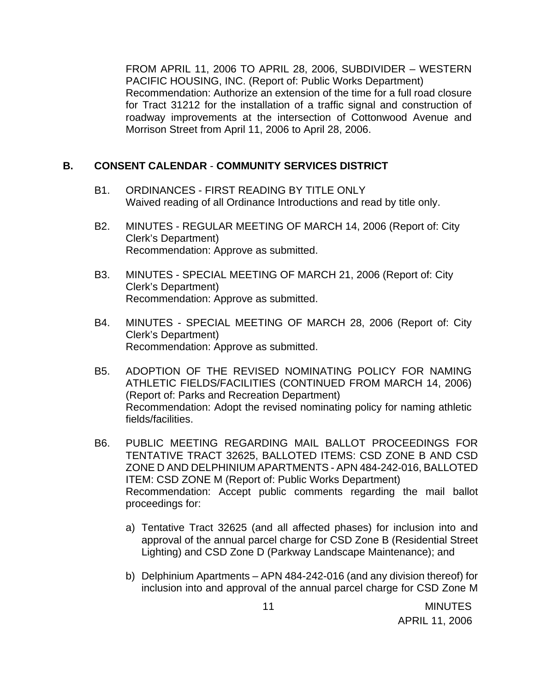FROM APRIL 11, 2006 TO APRIL 28, 2006, SUBDIVIDER – WESTERN PACIFIC HOUSING, INC. (Report of: Public Works Department) Recommendation: Authorize an extension of the time for a full road closure for Tract 31212 for the installation of a traffic signal and construction of roadway improvements at the intersection of Cottonwood Avenue and Morrison Street from April 11, 2006 to April 28, 2006.

# **B. CONSENT CALENDAR** - **COMMUNITY SERVICES DISTRICT**

- B1. ORDINANCES FIRST READING BY TITLE ONLY Waived reading of all Ordinance Introductions and read by title only.
- B2. MINUTES REGULAR MEETING OF MARCH 14, 2006 (Report of: City Clerk's Department) Recommendation: Approve as submitted.
- B3. MINUTES SPECIAL MEETING OF MARCH 21, 2006 (Report of: City Clerk's Department) Recommendation: Approve as submitted.
- B4. MINUTES SPECIAL MEETING OF MARCH 28, 2006 (Report of: City Clerk's Department) Recommendation: Approve as submitted.
- B5. ADOPTION OF THE REVISED NOMINATING POLICY FOR NAMING ATHLETIC FIELDS/FACILITIES (CONTINUED FROM MARCH 14, 2006) (Report of: Parks and Recreation Department) Recommendation: Adopt the revised nominating policy for naming athletic fields/facilities.
- B6. PUBLIC MEETING REGARDING MAIL BALLOT PROCEEDINGS FOR TENTATIVE TRACT 32625, BALLOTED ITEMS: CSD ZONE B AND CSD ZONE D AND DELPHINIUM APARTMENTS - APN 484-242-016, BALLOTED ITEM: CSD ZONE M (Report of: Public Works Department) Recommendation: Accept public comments regarding the mail ballot proceedings for:
	- a) Tentative Tract 32625 (and all affected phases) for inclusion into and approval of the annual parcel charge for CSD Zone B (Residential Street Lighting) and CSD Zone D (Parkway Landscape Maintenance); and
	- b) Delphinium Apartments APN 484-242-016 (and any division thereof) for inclusion into and approval of the annual parcel charge for CSD Zone M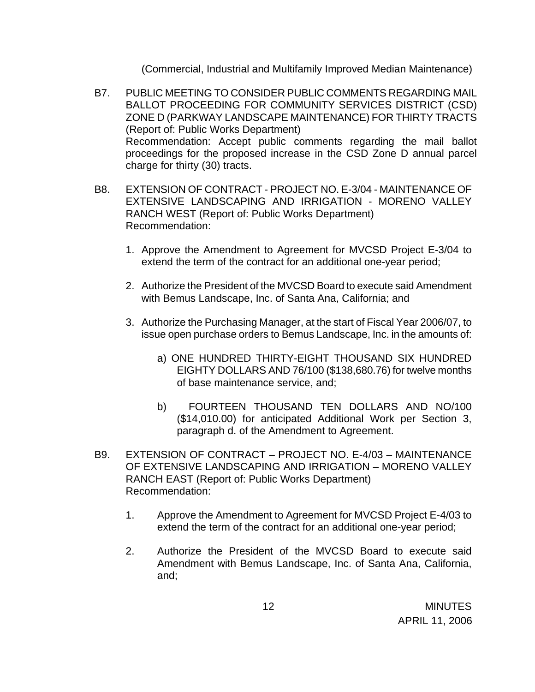(Commercial, Industrial and Multifamily Improved Median Maintenance)

- B7. PUBLIC MEETING TO CONSIDER PUBLIC COMMENTS REGARDING MAIL BALLOT PROCEEDING FOR COMMUNITY SERVICES DISTRICT (CSD) ZONE D (PARKWAY LANDSCAPE MAINTENANCE) FOR THIRTY TRACTS (Report of: Public Works Department) Recommendation: Accept public comments regarding the mail ballot proceedings for the proposed increase in the CSD Zone D annual parcel charge for thirty (30) tracts.
- B8. EXTENSION OF CONTRACT PROJECT NO. E-3/04 MAINTENANCE OF EXTENSIVE LANDSCAPING AND IRRIGATION - MORENO VALLEY RANCH WEST (Report of: Public Works Department) Recommendation:
	- 1. Approve the Amendment to Agreement for MVCSD Project E-3/04 to extend the term of the contract for an additional one-year period;
	- 2. Authorize the President of the MVCSD Board to execute said Amendment with Bemus Landscape, Inc. of Santa Ana, California; and
	- 3. Authorize the Purchasing Manager, at the start of Fiscal Year 2006/07, to issue open purchase orders to Bemus Landscape, Inc. in the amounts of:
		- a) ONE HUNDRED THIRTY-EIGHT THOUSAND SIX HUNDRED EIGHTY DOLLARS AND 76/100 (\$138,680.76) for twelve months of base maintenance service, and;
		- b) FOURTEEN THOUSAND TEN DOLLARS AND NO/100 (\$14,010.00) for anticipated Additional Work per Section 3, paragraph d. of the Amendment to Agreement.
- B9. EXTENSION OF CONTRACT PROJECT NO. E-4/03 MAINTENANCE OF EXTENSIVE LANDSCAPING AND IRRIGATION – MORENO VALLEY RANCH EAST (Report of: Public Works Department) Recommendation:
	- 1. Approve the Amendment to Agreement for MVCSD Project E-4/03 to extend the term of the contract for an additional one-year period;
	- 2. Authorize the President of the MVCSD Board to execute said Amendment with Bemus Landscape, Inc. of Santa Ana, California, and;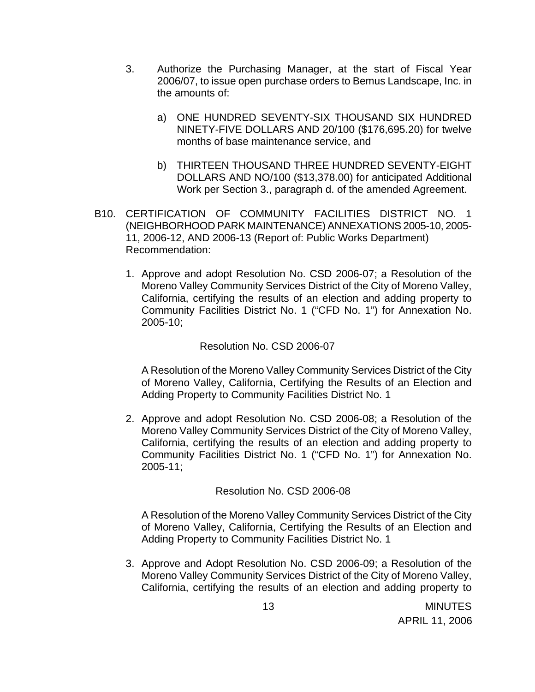- 3. Authorize the Purchasing Manager, at the start of Fiscal Year 2006/07, to issue open purchase orders to Bemus Landscape, Inc. in the amounts of:
	- a) ONE HUNDRED SEVENTY-SIX THOUSAND SIX HUNDRED NINETY-FIVE DOLLARS AND 20/100 (\$176,695.20) for twelve months of base maintenance service, and
	- b) THIRTEEN THOUSAND THREE HUNDRED SEVENTY-EIGHT DOLLARS AND NO/100 (\$13,378.00) for anticipated Additional Work per Section 3., paragraph d. of the amended Agreement.
- B10. CERTIFICATION OF COMMUNITY FACILITIES DISTRICT NO. 1 (NEIGHBORHOOD PARK MAINTENANCE) ANNEXATIONS 2005-10, 2005- 11, 2006-12, AND 2006-13 (Report of: Public Works Department) Recommendation:
	- 1. Approve and adopt Resolution No. CSD 2006-07; a Resolution of the Moreno Valley Community Services District of the City of Moreno Valley, California, certifying the results of an election and adding property to Community Facilities District No. 1 ("CFD No. 1") for Annexation No. 2005-10;

## Resolution No. CSD 2006-07

A Resolution of the Moreno Valley Community Services District of the City of Moreno Valley, California, Certifying the Results of an Election and Adding Property to Community Facilities District No. 1

2. Approve and adopt Resolution No. CSD 2006-08; a Resolution of the Moreno Valley Community Services District of the City of Moreno Valley, California, certifying the results of an election and adding property to Community Facilities District No. 1 ("CFD No. 1") for Annexation No. 2005-11;

## Resolution No. CSD 2006-08

A Resolution of the Moreno Valley Community Services District of the City of Moreno Valley, California, Certifying the Results of an Election and Adding Property to Community Facilities District No. 1

3. Approve and Adopt Resolution No. CSD 2006-09; a Resolution of the Moreno Valley Community Services District of the City of Moreno Valley, California, certifying the results of an election and adding property to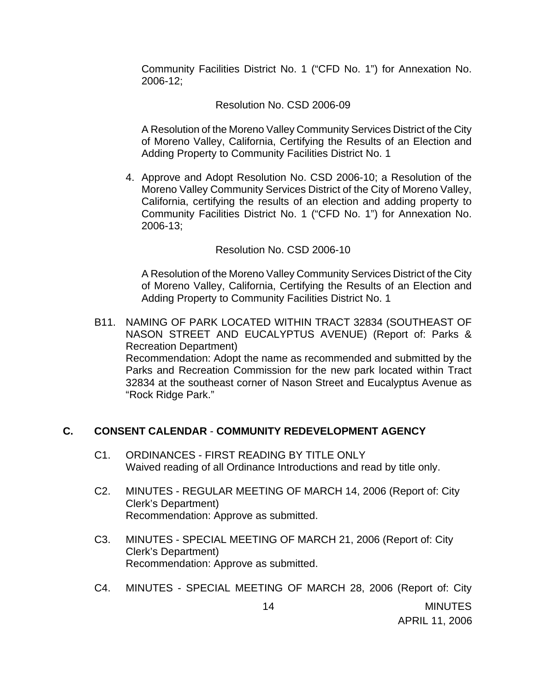Community Facilities District No. 1 ("CFD No. 1") for Annexation No. 2006-12;

# Resolution No. CSD 2006-09

A Resolution of the Moreno Valley Community Services District of the City of Moreno Valley, California, Certifying the Results of an Election and Adding Property to Community Facilities District No. 1

4. Approve and Adopt Resolution No. CSD 2006-10; a Resolution of the Moreno Valley Community Services District of the City of Moreno Valley, California, certifying the results of an election and adding property to Community Facilities District No. 1 ("CFD No. 1") for Annexation No. 2006-13;

#### Resolution No. CSD 2006-10

A Resolution of the Moreno Valley Community Services District of the City of Moreno Valley, California, Certifying the Results of an Election and Adding Property to Community Facilities District No. 1

B11. NAMING OF PARK LOCATED WITHIN TRACT 32834 (SOUTHEAST OF NASON STREET AND EUCALYPTUS AVENUE) (Report of: Parks & Recreation Department) Recommendation: Adopt the name as recommended and submitted by the Parks and Recreation Commission for the new park located within Tract 32834 at the southeast corner of Nason Street and Eucalyptus Avenue as "Rock Ridge Park."

## **C. CONSENT CALENDAR** - **COMMUNITY REDEVELOPMENT AGENCY**

- C1. ORDINANCES FIRST READING BY TITLE ONLY Waived reading of all Ordinance Introductions and read by title only.
- C2. MINUTES REGULAR MEETING OF MARCH 14, 2006 (Report of: City Clerk's Department) Recommendation: Approve as submitted.
- C3. MINUTES SPECIAL MEETING OF MARCH 21, 2006 (Report of: City Clerk's Department) Recommendation: Approve as submitted.
- C4. MINUTES SPECIAL MEETING OF MARCH 28, 2006 (Report of: City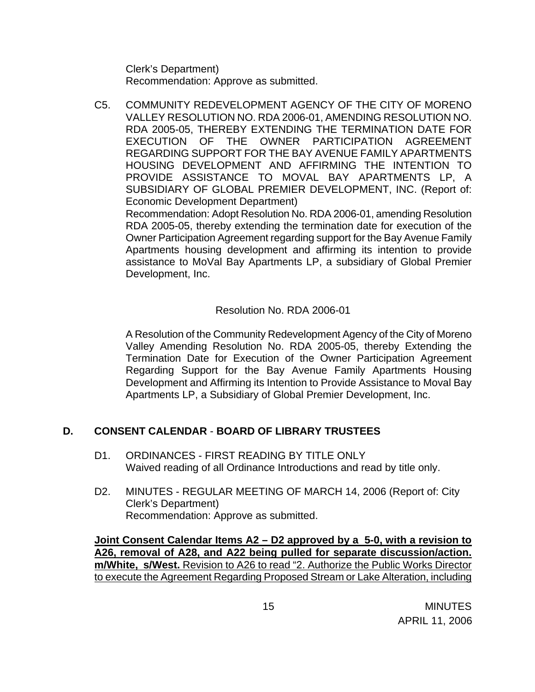Clerk's Department) Recommendation: Approve as submitted.

C5. COMMUNITY REDEVELOPMENT AGENCY OF THE CITY OF MORENO VALLEY RESOLUTION NO. RDA 2006-01, AMENDING RESOLUTION NO. RDA 2005-05, THEREBY EXTENDING THE TERMINATION DATE FOR EXECUTION OF THE OWNER PARTICIPATION AGREEMENT REGARDING SUPPORT FOR THE BAY AVENUE FAMILY APARTMENTS HOUSING DEVELOPMENT AND AFFIRMING THE INTENTION TO PROVIDE ASSISTANCE TO MOVAL BAY APARTMENTS LP, A SUBSIDIARY OF GLOBAL PREMIER DEVELOPMENT, INC. (Report of: Economic Development Department)

 Recommendation: Adopt Resolution No. RDA 2006-01, amending Resolution RDA 2005-05, thereby extending the termination date for execution of the Owner Participation Agreement regarding support for the Bay Avenue Family Apartments housing development and affirming its intention to provide assistance to MoVal Bay Apartments LP, a subsidiary of Global Premier Development, Inc.

## Resolution No. RDA 2006-01

A Resolution of the Community Redevelopment Agency of the City of Moreno Valley Amending Resolution No. RDA 2005-05, thereby Extending the Termination Date for Execution of the Owner Participation Agreement Regarding Support for the Bay Avenue Family Apartments Housing Development and Affirming its Intention to Provide Assistance to Moval Bay Apartments LP, a Subsidiary of Global Premier Development, Inc.

# **D. CONSENT CALENDAR** - **BOARD OF LIBRARY TRUSTEES**

- D1. ORDINANCES FIRST READING BY TITLE ONLY Waived reading of all Ordinance Introductions and read by title only.
- D2. MINUTES REGULAR MEETING OF MARCH 14, 2006 (Report of: City Clerk's Department) Recommendation: Approve as submitted.

**Joint Consent Calendar Items A2 – D2 approved by a 5-0, with a revision to A26, removal of A28, and A22 being pulled for separate discussion/action. m/White, s/West.** Revision to A26 to read "2. Authorize the Public Works Director to execute the Agreement Regarding Proposed Stream or Lake Alteration, including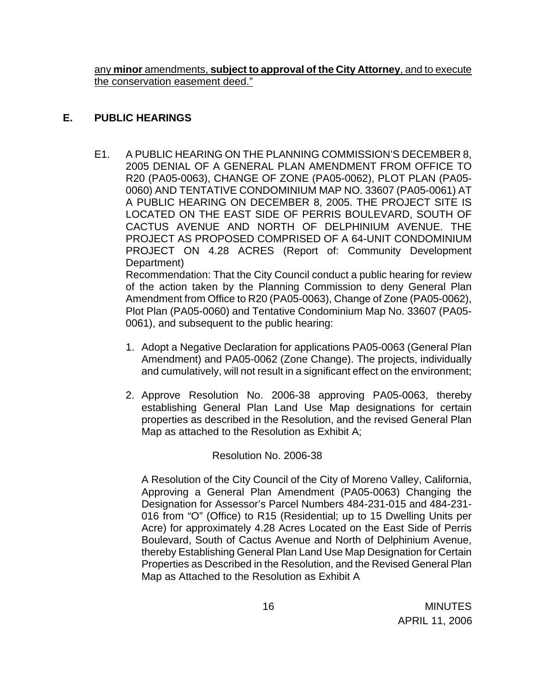any **minor** amendments, **subject to approval of the City Attorney**, and to execute the conservation easement deed."

## **E. PUBLIC HEARINGS**

E1. A PUBLIC HEARING ON THE PLANNING COMMISSION'S DECEMBER 8, 2005 DENIAL OF A GENERAL PLAN AMENDMENT FROM OFFICE TO R20 (PA05-0063), CHANGE OF ZONE (PA05-0062), PLOT PLAN (PA05- 0060) AND TENTATIVE CONDOMINIUM MAP NO. 33607 (PA05-0061) AT A PUBLIC HEARING ON DECEMBER 8, 2005. THE PROJECT SITE IS LOCATED ON THE EAST SIDE OF PERRIS BOULEVARD, SOUTH OF CACTUS AVENUE AND NORTH OF DELPHINIUM AVENUE. THE PROJECT AS PROPOSED COMPRISED OF A 64-UNIT CONDOMINIUM PROJECT ON 4.28 ACRES (Report of: Community Development Department)

 Recommendation: That the City Council conduct a public hearing for review of the action taken by the Planning Commission to deny General Plan Amendment from Office to R20 (PA05-0063), Change of Zone (PA05-0062), Plot Plan (PA05-0060) and Tentative Condominium Map No. 33607 (PA05- 0061), and subsequent to the public hearing:

- 1. Adopt a Negative Declaration for applications PA05-0063 (General Plan Amendment) and PA05-0062 (Zone Change). The projects, individually and cumulatively, will not result in a significant effect on the environment;
- 2. Approve Resolution No. 2006-38 approving PA05-0063, thereby establishing General Plan Land Use Map designations for certain properties as described in the Resolution, and the revised General Plan Map as attached to the Resolution as Exhibit A;

# Resolution No. 2006-38

A Resolution of the City Council of the City of Moreno Valley, California, Approving a General Plan Amendment (PA05-0063) Changing the Designation for Assessor's Parcel Numbers 484-231-015 and 484-231- 016 from "O" (Office) to R15 (Residential; up to 15 Dwelling Units per Acre) for approximately 4.28 Acres Located on the East Side of Perris Boulevard, South of Cactus Avenue and North of Delphinium Avenue, thereby Establishing General Plan Land Use Map Designation for Certain Properties as Described in the Resolution, and the Revised General Plan Map as Attached to the Resolution as Exhibit A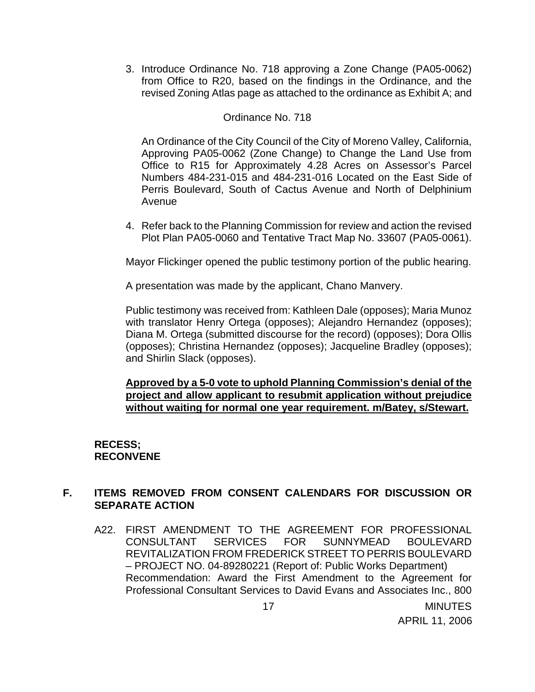3. Introduce Ordinance No. 718 approving a Zone Change (PA05-0062) from Office to R20, based on the findings in the Ordinance, and the revised Zoning Atlas page as attached to the ordinance as Exhibit A; and

#### Ordinance No. 718

An Ordinance of the City Council of the City of Moreno Valley, California, Approving PA05-0062 (Zone Change) to Change the Land Use from Office to R15 for Approximately 4.28 Acres on Assessor's Parcel Numbers 484-231-015 and 484-231-016 Located on the East Side of Perris Boulevard, South of Cactus Avenue and North of Delphinium Avenue

4. Refer back to the Planning Commission for review and action the revised Plot Plan PA05-0060 and Tentative Tract Map No. 33607 (PA05-0061).

Mayor Flickinger opened the public testimony portion of the public hearing.

A presentation was made by the applicant, Chano Manvery.

 Public testimony was received from: Kathleen Dale (opposes); Maria Munoz with translator Henry Ortega (opposes); Alejandro Hernandez (opposes); Diana M. Ortega (submitted discourse for the record) (opposes); Dora Ollis (opposes); Christina Hernandez (opposes); Jacqueline Bradley (opposes); and Shirlin Slack (opposes).

#### **Approved by a 5-0 vote to uphold Planning Commission's denial of the project and allow applicant to resubmit application without prejudice without waiting for normal one year requirement. m/Batey, s/Stewart.**

## **RECESS; RECONVENE**

## **F. ITEMS REMOVED FROM CONSENT CALENDARS FOR DISCUSSION OR SEPARATE ACTION**

A22. FIRST AMENDMENT TO THE AGREEMENT FOR PROFESSIONAL CONSULTANT SERVICES FOR SUNNYMEAD BOULEVARD REVITALIZATION FROM FREDERICK STREET TO PERRIS BOULEVARD – PROJECT NO. 04-89280221 (Report of: Public Works Department) Recommendation: Award the First Amendment to the Agreement for Professional Consultant Services to David Evans and Associates Inc., 800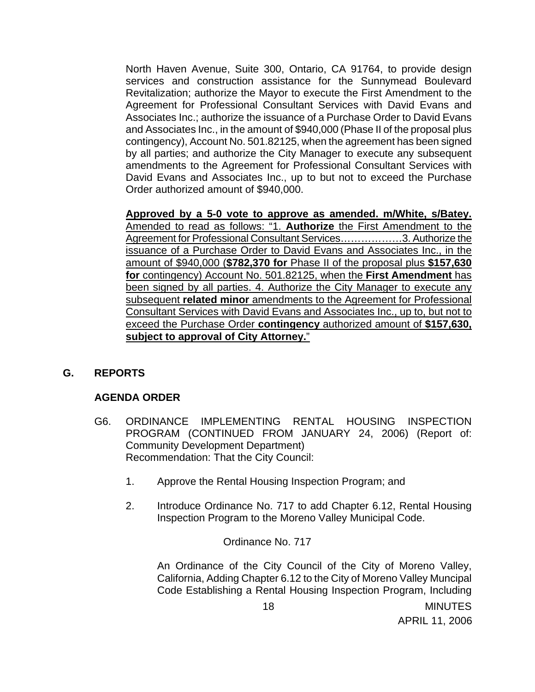North Haven Avenue, Suite 300, Ontario, CA 91764, to provide design services and construction assistance for the Sunnymead Boulevard Revitalization; authorize the Mayor to execute the First Amendment to the Agreement for Professional Consultant Services with David Evans and Associates Inc.; authorize the issuance of a Purchase Order to David Evans and Associates Inc., in the amount of \$940,000 (Phase II of the proposal plus contingency), Account No. 501.82125, when the agreement has been signed by all parties; and authorize the City Manager to execute any subsequent amendments to the Agreement for Professional Consultant Services with David Evans and Associates Inc., up to but not to exceed the Purchase Order authorized amount of \$940,000.

 **Approved by a 5-0 vote to approve as amended. m/White, s/Batey.**  Amended to read as follows: "1. **Authorize** the First Amendment to the Agreement for Professional Consultant Services………………3. Authorize the issuance of a Purchase Order to David Evans and Associates Inc., in the amount of \$940,000 (**\$782,370 for** Phase II of the proposal plus **\$157,630 for** contingency) Account No. 501.82125, when the **First Amendment** has been signed by all parties. 4. Authorize the City Manager to execute any subsequent **related minor** amendments to the Agreement for Professional Consultant Services with David Evans and Associates Inc., up to, but not to exceed the Purchase Order **contingency** authorized amount of **\$157,630, subject to approval of City Attorney.**"

## **G. REPORTS**

## **AGENDA ORDER**

- G6. ORDINANCE IMPLEMENTING RENTAL HOUSING INSPECTION PROGRAM (CONTINUED FROM JANUARY 24, 2006) (Report of: Community Development Department) Recommendation: That the City Council:
	- 1. Approve the Rental Housing Inspection Program; and
	- 2. Introduce Ordinance No. 717 to add Chapter 6.12, Rental Housing Inspection Program to the Moreno Valley Municipal Code.

Ordinance No. 717

An Ordinance of the City Council of the City of Moreno Valley, California, Adding Chapter 6.12 to the City of Moreno Valley Muncipal Code Establishing a Rental Housing Inspection Program, Including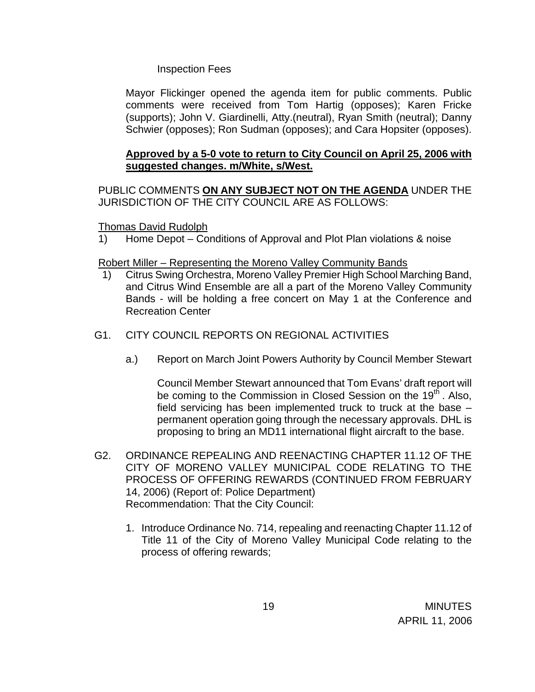#### Inspection Fees

Mayor Flickinger opened the agenda item for public comments. Public comments were received from Tom Hartig (opposes); Karen Fricke (supports); John V. Giardinelli, Atty.(neutral), Ryan Smith (neutral); Danny Schwier (opposes); Ron Sudman (opposes); and Cara Hopsiter (opposes).

## **Approved by a 5-0 vote to return to City Council on April 25, 2006 with suggested changes. m/White, s/West.**

PUBLIC COMMENTS **ON ANY SUBJECT NOT ON THE AGENDA** UNDER THE JURISDICTION OF THE CITY COUNCIL ARE AS FOLLOWS:

#### Thomas David Rudolph

1) Home Depot – Conditions of Approval and Plot Plan violations & noise

#### Robert Miller – Representing the Moreno Valley Community Bands

- 1) Citrus Swing Orchestra, Moreno Valley Premier High School Marching Band, and Citrus Wind Ensemble are all a part of the Moreno Valley Community Bands - will be holding a free concert on May 1 at the Conference and Recreation Center
- G1. CITY COUNCIL REPORTS ON REGIONAL ACTIVITIES
	- a.) Report on March Joint Powers Authority by Council Member Stewart

 Council Member Stewart announced that Tom Evans' draft report will be coming to the Commission in Closed Session on the 19<sup>th</sup>. Also, field servicing has been implemented truck to truck at the base – permanent operation going through the necessary approvals. DHL is proposing to bring an MD11 international flight aircraft to the base.

- G2. ORDINANCE REPEALING AND REENACTING CHAPTER 11.12 OF THE CITY OF MORENO VALLEY MUNICIPAL CODE RELATING TO THE PROCESS OF OFFERING REWARDS (CONTINUED FROM FEBRUARY 14, 2006) (Report of: Police Department) Recommendation: That the City Council:
	- 1. Introduce Ordinance No. 714, repealing and reenacting Chapter 11.12 of Title 11 of the City of Moreno Valley Municipal Code relating to the process of offering rewards;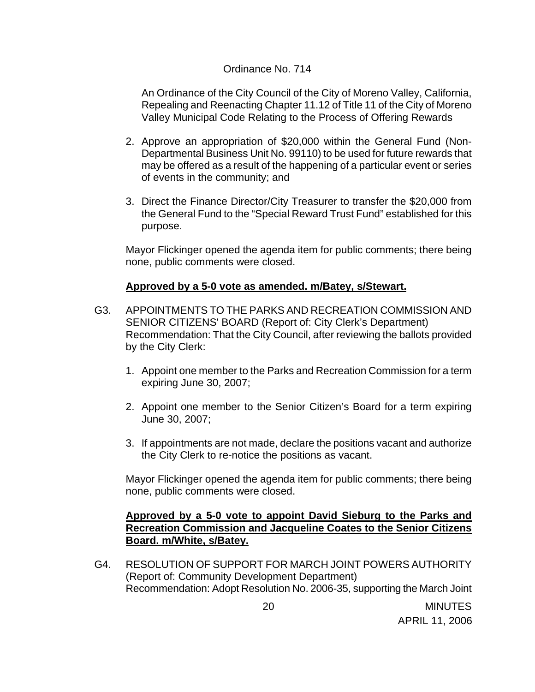#### Ordinance No. 714

An Ordinance of the City Council of the City of Moreno Valley, California, Repealing and Reenacting Chapter 11.12 of Title 11 of the City of Moreno Valley Municipal Code Relating to the Process of Offering Rewards

- 2. Approve an appropriation of \$20,000 within the General Fund (Non-Departmental Business Unit No. 99110) to be used for future rewards that may be offered as a result of the happening of a particular event or series of events in the community; and
- 3. Direct the Finance Director/City Treasurer to transfer the \$20,000 from the General Fund to the "Special Reward Trust Fund" established for this purpose.

 Mayor Flickinger opened the agenda item for public comments; there being none, public comments were closed.

## **Approved by a 5-0 vote as amended. m/Batey, s/Stewart.**

- G3. APPOINTMENTS TO THE PARKS AND RECREATION COMMISSION AND SENIOR CITIZENS' BOARD (Report of: City Clerk's Department) Recommendation: That the City Council, after reviewing the ballots provided by the City Clerk:
	- 1. Appoint one member to the Parks and Recreation Commission for a term expiring June 30, 2007;
	- 2. Appoint one member to the Senior Citizen's Board for a term expiring June 30, 2007;
	- 3. If appointments are not made, declare the positions vacant and authorize the City Clerk to re-notice the positions as vacant.

 Mayor Flickinger opened the agenda item for public comments; there being none, public comments were closed.

## **Approved by a 5-0 vote to appoint David Sieburg to the Parks and Recreation Commission and Jacqueline Coates to the Senior Citizens Board. m/White, s/Batey.**

G4. RESOLUTION OF SUPPORT FOR MARCH JOINT POWERS AUTHORITY (Report of: Community Development Department) Recommendation: Adopt Resolution No. 2006-35, supporting the March Joint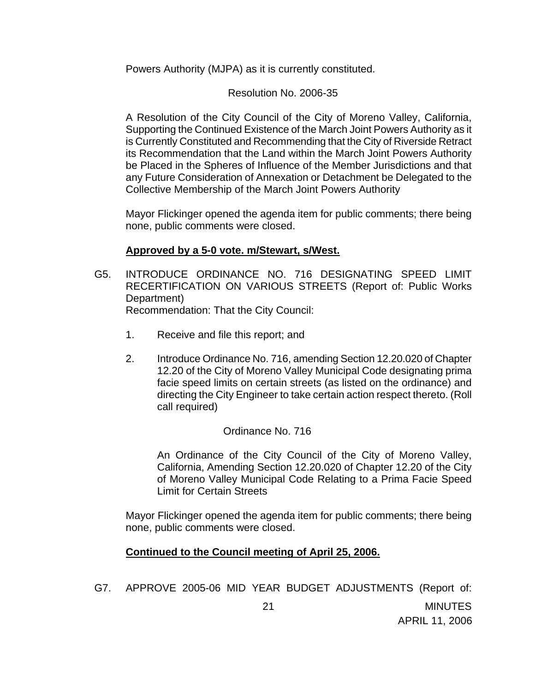Powers Authority (MJPA) as it is currently constituted.

# Resolution No. 2006-35

A Resolution of the City Council of the City of Moreno Valley, California, Supporting the Continued Existence of the March Joint Powers Authority as it is Currently Constituted and Recommending that the City of Riverside Retract its Recommendation that the Land within the March Joint Powers Authority be Placed in the Spheres of Influence of the Member Jurisdictions and that any Future Consideration of Annexation or Detachment be Delegated to the Collective Membership of the March Joint Powers Authority

 Mayor Flickinger opened the agenda item for public comments; there being none, public comments were closed.

## **Approved by a 5-0 vote. m/Stewart, s/West.**

G5. INTRODUCE ORDINANCE NO. 716 DESIGNATING SPEED LIMIT RECERTIFICATION ON VARIOUS STREETS (Report of: Public Works Department) Recommendation: That the City Council:

1. Receive and file this report; and

2. Introduce Ordinance No. 716, amending Section 12.20.020 of Chapter 12.20 of the City of Moreno Valley Municipal Code designating prima facie speed limits on certain streets (as listed on the ordinance) and directing the City Engineer to take certain action respect thereto. (Roll call required)

# Ordinance No. 716

An Ordinance of the City Council of the City of Moreno Valley, California, Amending Section 12.20.020 of Chapter 12.20 of the City of Moreno Valley Municipal Code Relating to a Prima Facie Speed Limit for Certain Streets

 Mayor Flickinger opened the agenda item for public comments; there being none, public comments were closed.

# **Continued to the Council meeting of April 25, 2006.**

G7. APPROVE 2005-06 MID YEAR BUDGET ADJUSTMENTS (Report of: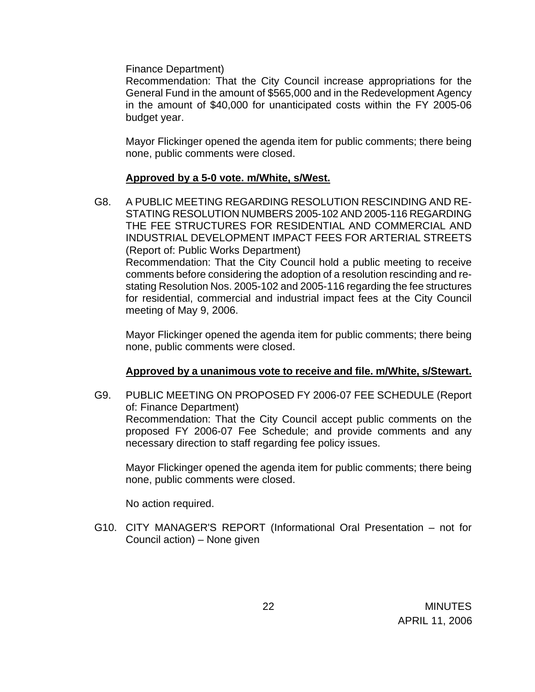Finance Department)

 Recommendation: That the City Council increase appropriations for the General Fund in the amount of \$565,000 and in the Redevelopment Agency in the amount of \$40,000 for unanticipated costs within the FY 2005-06 budget year.

 Mayor Flickinger opened the agenda item for public comments; there being none, public comments were closed.

#### **Approved by a 5-0 vote. m/White, s/West.**

G8. A PUBLIC MEETING REGARDING RESOLUTION RESCINDING AND RE-STATING RESOLUTION NUMBERS 2005-102 AND 2005-116 REGARDING THE FEE STRUCTURES FOR RESIDENTIAL AND COMMERCIAL AND INDUSTRIAL DEVELOPMENT IMPACT FEES FOR ARTERIAL STREETS (Report of: Public Works Department) Recommendation: That the City Council hold a public meeting to receive comments before considering the adoption of a resolution rescinding and restating Resolution Nos. 2005-102 and 2005-116 regarding the fee structures for residential, commercial and industrial impact fees at the City Council meeting of May 9, 2006.

 Mayor Flickinger opened the agenda item for public comments; there being none, public comments were closed.

## **Approved by a unanimous vote to receive and file. m/White, s/Stewart.**

G9. PUBLIC MEETING ON PROPOSED FY 2006-07 FEE SCHEDULE (Report of: Finance Department) Recommendation: That the City Council accept public comments on the proposed FY 2006-07 Fee Schedule; and provide comments and any necessary direction to staff regarding fee policy issues.

 Mayor Flickinger opened the agenda item for public comments; there being none, public comments were closed.

No action required.

G10. CITY MANAGER'S REPORT (Informational Oral Presentation – not for Council action) – None given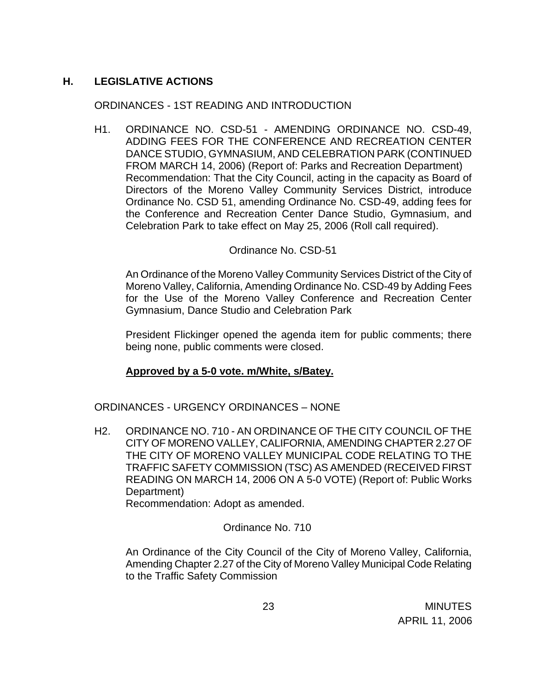# **H. LEGISLATIVE ACTIONS**

## ORDINANCES - 1ST READING AND INTRODUCTION

H1. ORDINANCE NO. CSD-51 - AMENDING ORDINANCE NO. CSD-49, ADDING FEES FOR THE CONFERENCE AND RECREATION CENTER DANCE STUDIO, GYMNASIUM, AND CELEBRATION PARK (CONTINUED FROM MARCH 14, 2006) (Report of: Parks and Recreation Department) Recommendation: That the City Council, acting in the capacity as Board of Directors of the Moreno Valley Community Services District, introduce Ordinance No. CSD 51, amending Ordinance No. CSD-49, adding fees for the Conference and Recreation Center Dance Studio, Gymnasium, and Celebration Park to take effect on May 25, 2006 (Roll call required).

## Ordinance No. CSD-51

 An Ordinance of the Moreno Valley Community Services District of the City of Moreno Valley, California, Amending Ordinance No. CSD-49 by Adding Fees for the Use of the Moreno Valley Conference and Recreation Center Gymnasium, Dance Studio and Celebration Park

 President Flickinger opened the agenda item for public comments; there being none, public comments were closed.

# **Approved by a 5-0 vote. m/White, s/Batey.**

ORDINANCES - URGENCY ORDINANCES – NONE

H2. ORDINANCE NO. 710 - AN ORDINANCE OF THE CITY COUNCIL OF THE CITY OF MORENO VALLEY, CALIFORNIA, AMENDING CHAPTER 2.27 OF THE CITY OF MORENO VALLEY MUNICIPAL CODE RELATING TO THE TRAFFIC SAFETY COMMISSION (TSC) AS AMENDED (RECEIVED FIRST READING ON MARCH 14, 2006 ON A 5-0 VOTE) (Report of: Public Works Department)

Recommendation: Adopt as amended.

Ordinance No. 710

An Ordinance of the City Council of the City of Moreno Valley, California, Amending Chapter 2.27 of the City of Moreno Valley Municipal Code Relating to the Traffic Safety Commission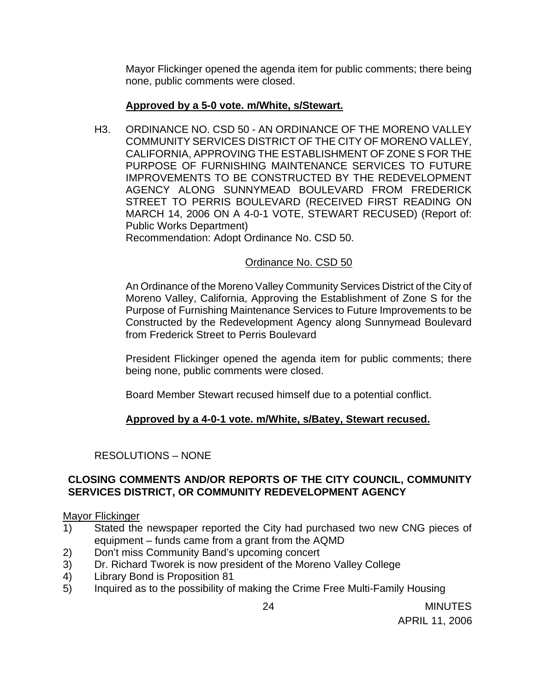Mayor Flickinger opened the agenda item for public comments; there being none, public comments were closed.

## **Approved by a 5-0 vote. m/White, s/Stewart.**

H3. ORDINANCE NO. CSD 50 - AN ORDINANCE OF THE MORENO VALLEY COMMUNITY SERVICES DISTRICT OF THE CITY OF MORENO VALLEY, CALIFORNIA, APPROVING THE ESTABLISHMENT OF ZONE S FOR THE PURPOSE OF FURNISHING MAINTENANCE SERVICES TO FUTURE IMPROVEMENTS TO BE CONSTRUCTED BY THE REDEVELOPMENT AGENCY ALONG SUNNYMEAD BOULEVARD FROM FREDERICK STREET TO PERRIS BOULEVARD (RECEIVED FIRST READING ON MARCH 14, 2006 ON A 4-0-1 VOTE, STEWART RECUSED) (Report of: Public Works Department)

Recommendation: Adopt Ordinance No. CSD 50.

## Ordinance No. CSD 50

An Ordinance of the Moreno Valley Community Services District of the City of Moreno Valley, California, Approving the Establishment of Zone S for the Purpose of Furnishing Maintenance Services to Future Improvements to be Constructed by the Redevelopment Agency along Sunnymead Boulevard from Frederick Street to Perris Boulevard

 President Flickinger opened the agenda item for public comments; there being none, public comments were closed.

Board Member Stewart recused himself due to a potential conflict.

# **Approved by a 4-0-1 vote. m/White, s/Batey, Stewart recused.**

# RESOLUTIONS – NONE

## **CLOSING COMMENTS AND/OR REPORTS OF THE CITY COUNCIL, COMMUNITY SERVICES DISTRICT, OR COMMUNITY REDEVELOPMENT AGENCY**

## Mayor Flickinger

- 1) Stated the newspaper reported the City had purchased two new CNG pieces of equipment – funds came from a grant from the AQMD
- 2) Don't miss Community Band's upcoming concert
- 3) Dr. Richard Tworek is now president of the Moreno Valley College
- 4) Library Bond is Proposition 81
- 5) Inquired as to the possibility of making the Crime Free Multi-Family Housing